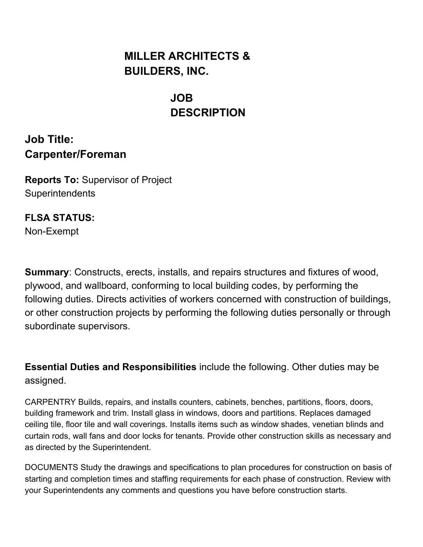## **MILLER ARCHITECTS & BUILDERS, INC.**

# **JOB DESCRIPTION**

**Job Title: Carpenter/Foreman**

**Reports To:** Supervisor of Project **Superintendents** 

# **FLSA STATUS:**

Non-Exempt

**Summary**: Constructs, erects, installs, and repairs structures and fixtures of wood, plywood, and wallboard, conforming to local building codes, by performing the following duties. Directs activities of workers concerned with construction of buildings, or other construction projects by performing the following duties personally or through subordinate supervisors.

**Essential Duties and Responsibilities** include the following. Other duties may be assigned.

CARPENTRY Builds, repairs, and installs counters, cabinets, benches, partitions, floors, doors, building framework and trim. Install glass in windows, doors and partitions. Replaces damaged ceiling tile, floor tile and wall coverings. Installs items such as window shades, venetian blinds and curtain rods, wall fans and door locks for tenants. Provide other construction skills as necessary and as directed by the Superintendent.

DOCUMENTS Study the drawings and specifications to plan procedures for construction on basis of starting and completion times and staffing requirements for each phase of construction. Review with your Superintendents any comments and questions you have before construction starts.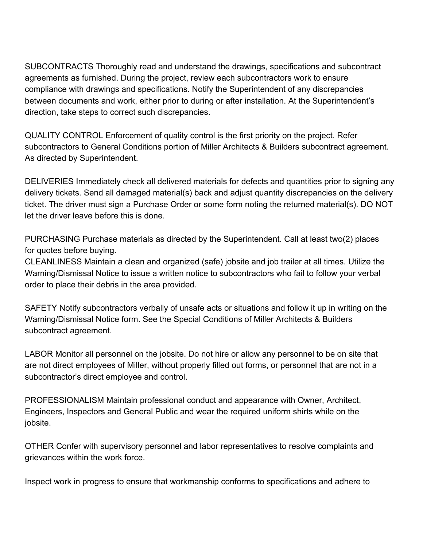SUBCONTRACTS Thoroughly read and understand the drawings, specifications and subcontract agreements as furnished. During the project, review each subcontractors work to ensure compliance with drawings and specifications. Notify the Superintendent of any discrepancies between documents and work, either prior to during or after installation. At the Superintendent's direction, take steps to correct such discrepancies.

QUALITY CONTROL Enforcement of quality control is the first priority on the project. Refer subcontractors to General Conditions portion of Miller Architects & Builders subcontract agreement. As directed by Superintendent.

DELIVERIES Immediately check all delivered materials for defects and quantities prior to signing any delivery tickets. Send all damaged material(s) back and adjust quantity discrepancies on the delivery ticket. The driver must sign a Purchase Order or some form noting the returned material(s). DO NOT let the driver leave before this is done.

PURCHASING Purchase materials as directed by the Superintendent. Call at least two(2) places for quotes before buying.

CLEANLINESS Maintain a clean and organized (safe) jobsite and job trailer at all times. Utilize the Warning/Dismissal Notice to issue a written notice to subcontractors who fail to follow your verbal order to place their debris in the area provided.

SAFETY Notify subcontractors verbally of unsafe acts or situations and follow it up in writing on the Warning/Dismissal Notice form. See the Special Conditions of Miller Architects & Builders subcontract agreement.

LABOR Monitor all personnel on the jobsite. Do not hire or allow any personnel to be on site that are not direct employees of Miller, without properly filled out forms, or personnel that are not in a subcontractor's direct employee and control.

PROFESSIONALISM Maintain professional conduct and appearance with Owner, Architect, Engineers, Inspectors and General Public and wear the required uniform shirts while on the jobsite.

OTHER Confer with supervisory personnel and labor representatives to resolve complaints and grievances within the work force.

Inspect work in progress to ensure that workmanship conforms to specifications and adhere to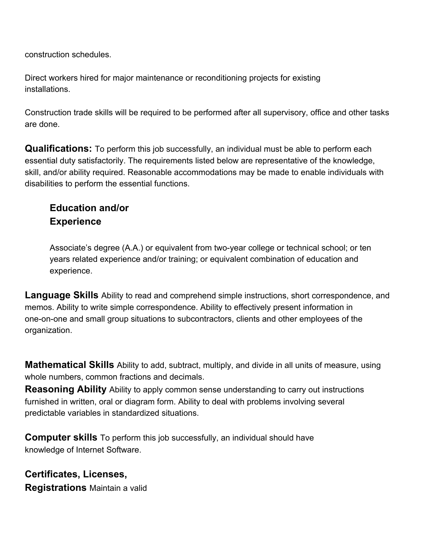construction schedules.

Direct workers hired for major maintenance or reconditioning projects for existing installations.

Construction trade skills will be required to be performed after all supervisory, office and other tasks are done.

**Qualifications:** To perform this job successfully, an individual must be able to perform each essential duty satisfactorily. The requirements listed below are representative of the knowledge, skill, and/or ability required. Reasonable accommodations may be made to enable individuals with disabilities to perform the essential functions.

### **Education and/or Experience**

Associate's degree (A.A.) or equivalent from two-year college or technical school; or ten years related experience and/or training; or equivalent combination of education and experience.

**Language Skills** Ability to read and comprehend simple instructions, short correspondence, and memos. Ability to write simple correspondence. Ability to effectively present information in one-on-one and small group situations to subcontractors, clients and other employees of the organization.

**Mathematical Skills** Ability to add, subtract, multiply, and divide in all units of measure, using whole numbers, common fractions and decimals.

**Reasoning Ability** Ability to apply common sense understanding to carry out instructions furnished in written, oral or diagram form. Ability to deal with problems involving several predictable variables in standardized situations.

**Computer skills** To perform this job successfully, an individual should have knowledge of Internet Software.

**Certificates, Licenses, Registrations** Maintain a valid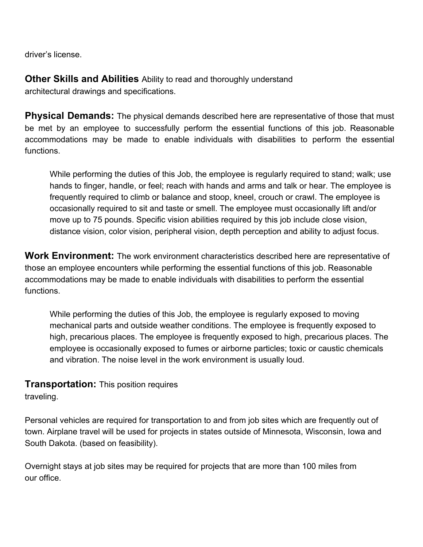driver's license.

**Other Skills and Abilities** Ability to read and thoroughly understand architectural drawings and specifications.

**Physical Demands:** The physical demands described here are representative of those that must be met by an employee to successfully perform the essential functions of this job. Reasonable accommodations may be made to enable individuals with disabilities to perform the essential functions.

While performing the duties of this Job, the employee is regularly required to stand; walk; use hands to finger, handle, or feel; reach with hands and arms and talk or hear. The employee is frequently required to climb or balance and stoop, kneel, crouch or crawl. The employee is occasionally required to sit and taste or smell. The employee must occasionally lift and/or move up to 75 pounds. Specific vision abilities required by this job include close vision, distance vision, color vision, peripheral vision, depth perception and ability to adjust focus.

**Work Environment:** The work environment characteristics described here are representative of those an employee encounters while performing the essential functions of this job. Reasonable accommodations may be made to enable individuals with disabilities to perform the essential functions.

While performing the duties of this Job, the employee is regularly exposed to moving mechanical parts and outside weather conditions. The employee is frequently exposed to high, precarious places. The employee is frequently exposed to high, precarious places. The employee is occasionally exposed to fumes or airborne particles; toxic or caustic chemicals and vibration. The noise level in the work environment is usually loud.

#### **Transportation:** This position requires

traveling.

Personal vehicles are required for transportation to and from job sites which are frequently out of town. Airplane travel will be used for projects in states outside of Minnesota, Wisconsin, Iowa and South Dakota. (based on feasibility).

Overnight stays at job sites may be required for projects that are more than 100 miles from our office.